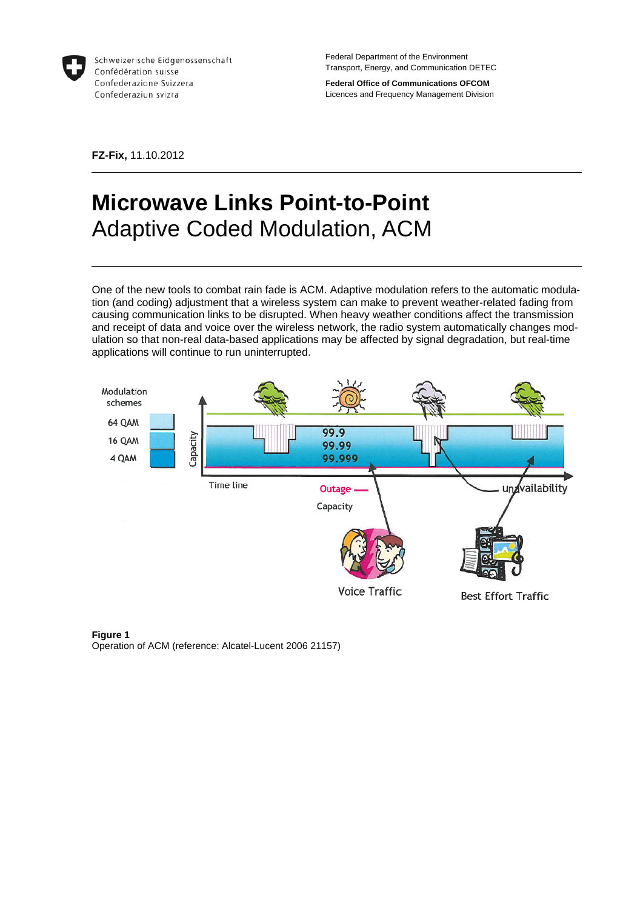

Schweizerische Eidgenossenschaft Confédération suisse Confederazione Svizzera Confederaziun svizra

Federal Department of the Environment Transport, Energy, and Communication DETEC

**Federal Office of Communications OFCOM**  Licences and Frequency Management Division

**FZ-Fix,** 11.10.2012

# **Microwave Links Point-to-Point**  Adaptive Coded Modulation, ACM

One of the new tools to combat rain fade is ACM. Adaptive modulation refers to the automatic modulation (and coding) adjustment that a wireless system can make to prevent weather-related fading from causing communication links to be disrupted. When heavy weather conditions affect the transmission and receipt of data and voice over the wireless network, the radio system automatically changes modulation so that non-real data-based applications may be affected by signal degradation, but real-time applications will continue to run uninterrupted.



**Figure 1** Operation of ACM (reference: Alcatel-Lucent 2006 21157)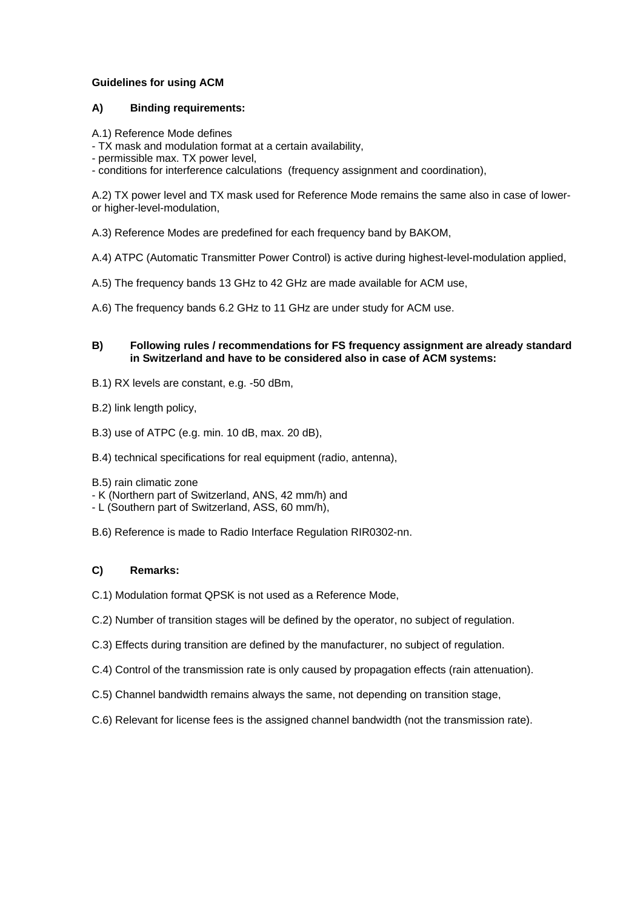# **Guidelines for using ACM**

## **A) Binding requirements:**

A.1) Reference Mode defines

- TX mask and modulation format at a certain availability,

- permissible max. TX power level,

- conditions for interference calculations (frequency assignment and coordination),

A.2) TX power level and TX mask used for Reference Mode remains the same also in case of loweror higher-level-modulation,

A.3) Reference Modes are predefined for each frequency band by BAKOM,

A.4) ATPC (Automatic Transmitter Power Control) is active during highest-level-modulation applied,

A.5) The frequency bands 13 GHz to 42 GHz are made available for ACM use,

A.6) The frequency bands 6.2 GHz to 11 GHz are under study for ACM use.

#### **B) Following rules / recommendations for FS frequency assignment are already standard in Switzerland and have to be considered also in case of ACM systems:**

B.1) RX levels are constant, e.g. -50 dBm,

B.2) link length policy,

B.3) use of ATPC (e.g. min. 10 dB, max. 20 dB),

B.4) technical specifications for real equipment (radio, antenna),

B.5) rain climatic zone

- K (Northern part of Switzerland, ANS, 42 mm/h) and

- L (Southern part of Switzerland, ASS, 60 mm/h),

B.6) Reference is made to Radio Interface Regulation RIR0302-nn.

# **C) Remarks:**

C.1) Modulation format QPSK is not used as a Reference Mode,

- C.2) Number of transition stages will be defined by the operator, no subject of regulation.
- C.3) Effects during transition are defined by the manufacturer, no subject of regulation.
- C.4) Control of the transmission rate is only caused by propagation effects (rain attenuation).
- C.5) Channel bandwidth remains always the same, not depending on transition stage,
- C.6) Relevant for license fees is the assigned channel bandwidth (not the transmission rate).